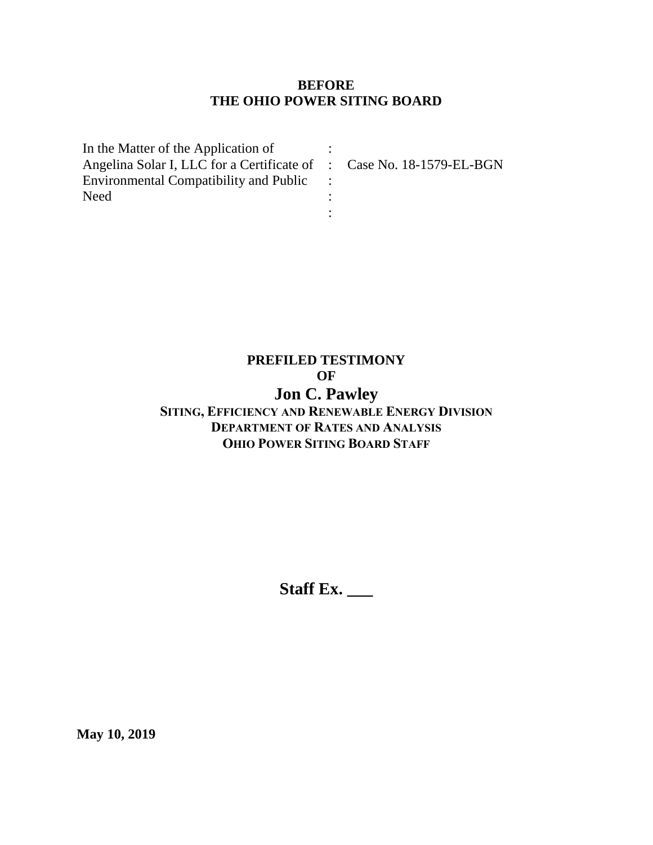### **BEFORE THE OHIO POWER SITING BOARD**

| In the Matter of the Application of                                  |  |
|----------------------------------------------------------------------|--|
| Angelina Solar I, LLC for a Certificate of : Case No. 18-1579-EL-BGN |  |
| <b>Environmental Compatibility and Public</b>                        |  |
| Need                                                                 |  |
|                                                                      |  |

# **PREFILED TESTIMONY OF**

# **Jon C. Pawley**

# **SITING, EFFICIENCY AND RENEWABLE ENERGY DIVISION DEPARTMENT OF RATES AND ANALYSIS OHIO POWER SITING BOARD STAFF**

**Staff Ex. \_\_\_**

**May 10, 2019**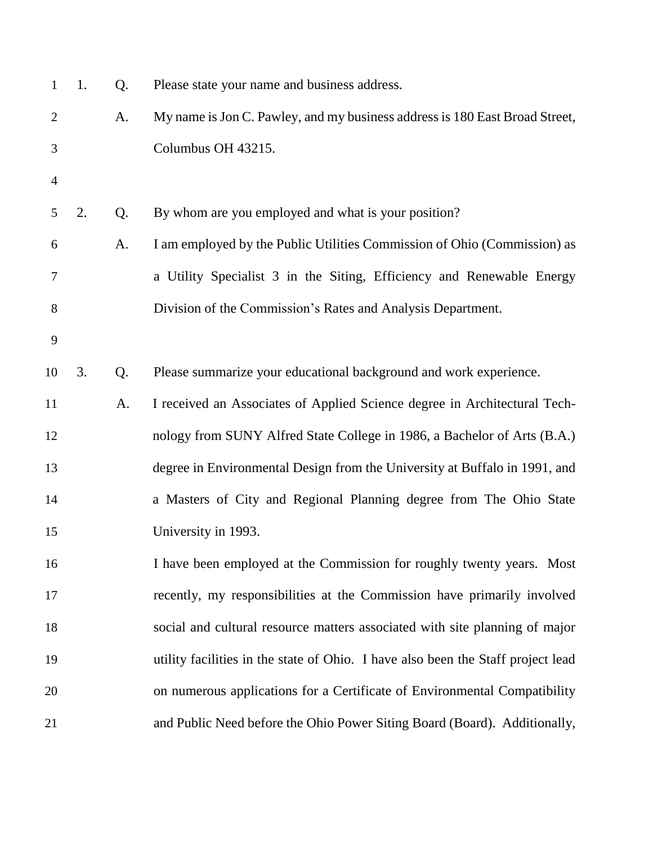| $\mathbf{1}$   | 1. | Q. | Please state your name and business address.                                     |
|----------------|----|----|----------------------------------------------------------------------------------|
| $\overline{2}$ |    | A. | My name is Jon C. Pawley, and my business address is 180 East Broad Street,      |
| 3              |    |    | Columbus OH 43215.                                                               |
| 4              |    |    |                                                                                  |
| 5              | 2. | Q. | By whom are you employed and what is your position?                              |
| 6              |    | A. | I am employed by the Public Utilities Commission of Ohio (Commission) as         |
| 7              |    |    | a Utility Specialist 3 in the Siting, Efficiency and Renewable Energy            |
| 8              |    |    | Division of the Commission's Rates and Analysis Department.                      |
| 9              |    |    |                                                                                  |
| 10             | 3. | Q. | Please summarize your educational background and work experience.                |
| 11             |    | A. | I received an Associates of Applied Science degree in Architectural Tech-        |
| 12             |    |    | nology from SUNY Alfred State College in 1986, a Bachelor of Arts (B.A.)         |
| 13             |    |    | degree in Environmental Design from the University at Buffalo in 1991, and       |
| 14             |    |    | a Masters of City and Regional Planning degree from The Ohio State               |
| 15             |    |    | University in 1993.                                                              |
| 16             |    |    | I have been employed at the Commission for roughly twenty years. Most            |
| 17             |    |    | recently, my responsibilities at the Commission have primarily involved          |
| 18             |    |    | social and cultural resource matters associated with site planning of major      |
| 19             |    |    | utility facilities in the state of Ohio. I have also been the Staff project lead |
| 20             |    |    | on numerous applications for a Certificate of Environmental Compatibility        |
| 21             |    |    | and Public Need before the Ohio Power Siting Board (Board). Additionally,        |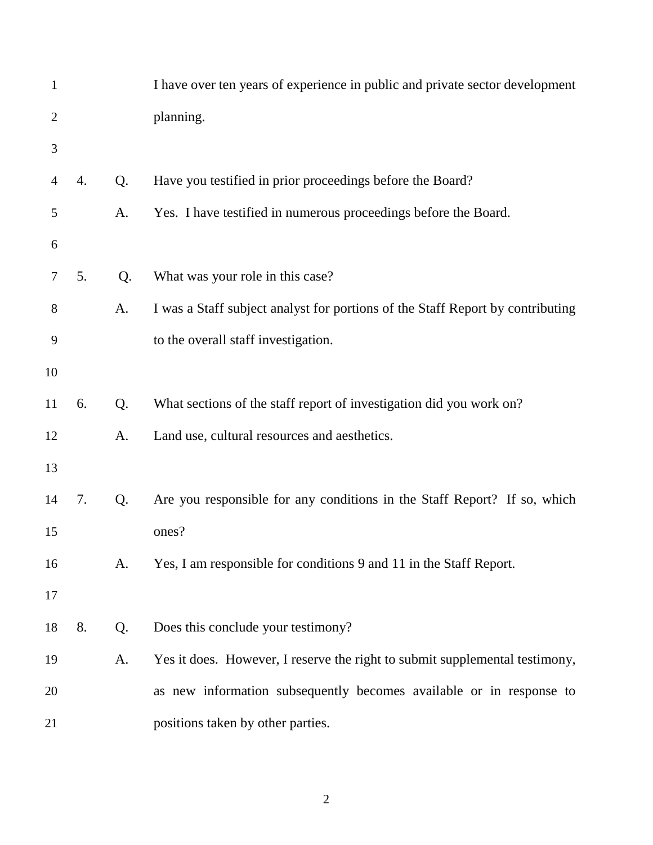| $\mathbf{1}$   |    |    | I have over ten years of experience in public and private sector development   |
|----------------|----|----|--------------------------------------------------------------------------------|
| $\overline{2}$ |    |    | planning.                                                                      |
| 3              |    |    |                                                                                |
| $\overline{4}$ | 4. | Q. | Have you testified in prior proceedings before the Board?                      |
| 5              |    | A. | Yes. I have testified in numerous proceedings before the Board.                |
| 6              |    |    |                                                                                |
| 7              | 5. | Q. | What was your role in this case?                                               |
| 8              |    | A. | I was a Staff subject analyst for portions of the Staff Report by contributing |
| 9              |    |    | to the overall staff investigation.                                            |
| 10             |    |    |                                                                                |
| 11             | 6. | Q. | What sections of the staff report of investigation did you work on?            |
| 12             |    | A. | Land use, cultural resources and aesthetics.                                   |
| 13             |    |    |                                                                                |
| 14             | 7. | Q. | Are you responsible for any conditions in the Staff Report? If so, which       |
| 15             |    |    | ones?                                                                          |
| 16             |    | A. | Yes, I am responsible for conditions 9 and 11 in the Staff Report.             |
| 17             |    |    |                                                                                |
| 18             | 8. | Q. | Does this conclude your testimony?                                             |
| 19             |    | A. | Yes it does. However, I reserve the right to submit supplemental testimony,    |
| 20             |    |    | as new information subsequently becomes available or in response to            |
| 21             |    |    | positions taken by other parties.                                              |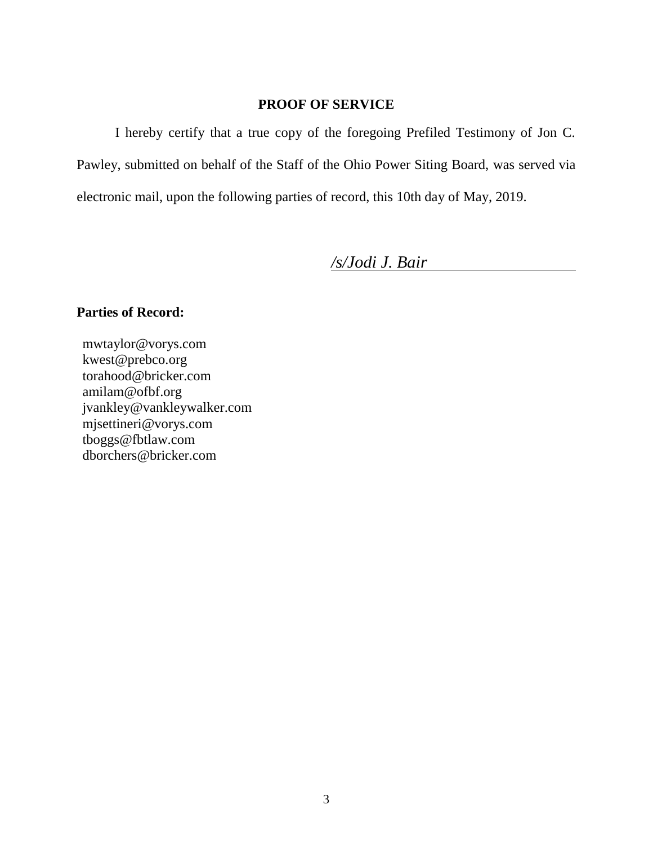#### **PROOF OF SERVICE**

I hereby certify that a true copy of the foregoing Prefiled Testimony of Jon C. Pawley, submitted on behalf of the Staff of the Ohio Power Siting Board, was served via electronic mail, upon the following parties of record, this 10th day of May, 2019.

*/s/Jodi J. Bair*

## **Parties of Record:**

mwtaylor@vorys.com [kwest@prebco.org](mailto:kwest@prebco.org) [torahood@bricker.com](mailto:torahood@bricker.com) [amilam@ofbf.org](mailto:amilam@ofbf.org) [jvankley@vankleywalker.com](mailto:jvankley@vankleywalker.com) [mjsettineri@vorys.com](mailto:mjsettineri@vorys.com) [tboggs@fbtlaw.com](mailto:tboggs@fbtlaw.com) [dborchers@bricker.com](mailto:dborchers@bricker.com)